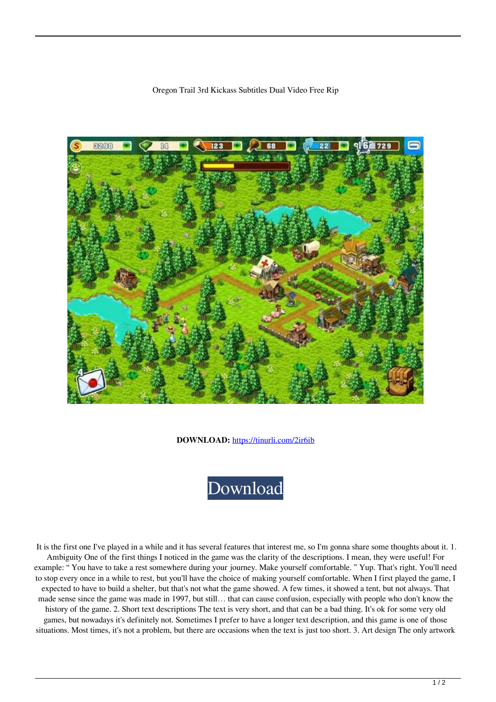

Oregon Trail 3rd Kickass Subtitles Dual Video Free Rip

**DOWNLOAD:** <https://tinurli.com/2ir6ib>



 It is the first one I've played in a while and it has several features that interest me, so I'm gonna share some thoughts about it. 1. Ambiguity One of the first things I noticed in the game was the clarity of the descriptions. I mean, they were useful! For example: " You have to take a rest somewhere during your journey. Make yourself comfortable. " Yup. That's right. You'll need to stop every once in a while to rest, but you'll have the choice of making yourself comfortable. When I first played the game, I expected to have to build a shelter, but that's not what the game showed. A few times, it showed a tent, but not always. That made sense since the game was made in 1997, but still… that can cause confusion, especially with people who don't know the history of the game. 2. Short text descriptions The text is very short, and that can be a bad thing. It's ok for some very old games, but nowadays it's definitely not. Sometimes I prefer to have a longer text description, and this game is one of those situations. Most times, it's not a problem, but there are occasions when the text is just too short. 3. Art design The only artwork